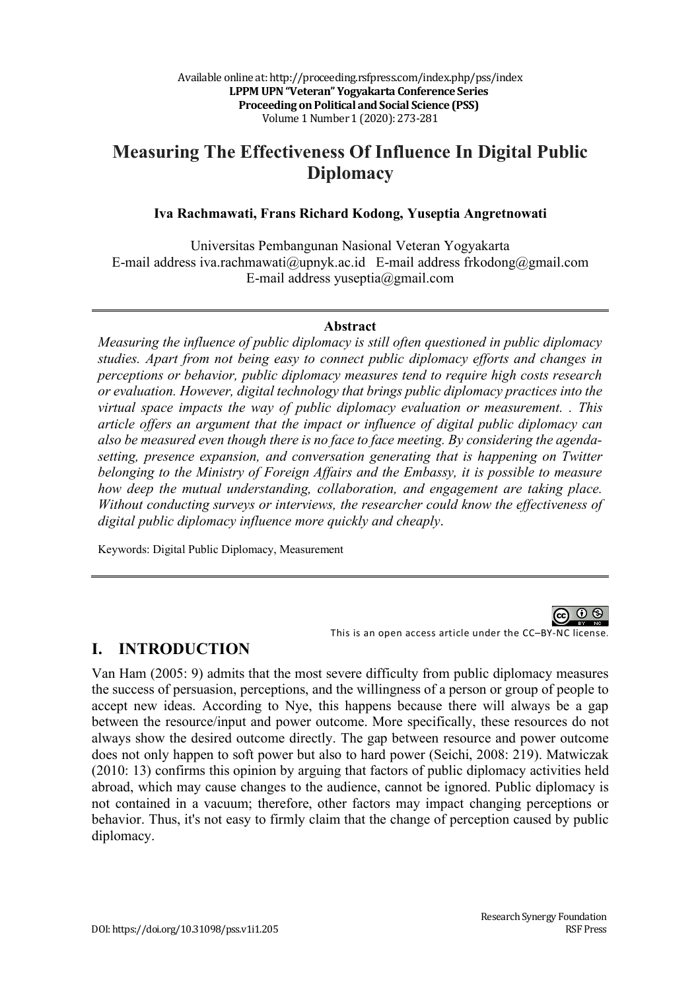# **Measuring The Effectiveness Of Influence In Digital Public Diplomacy**

#### **Iva Rachmawati, Frans Richard Kodong, Yuseptia Angretnowati**

Universitas Pembangunan Nasional Veteran Yogyakarta E-mail address iva.rachmawati@upnyk.ac.id E-mail address frkodong@gmail.com E-mail address yuseptia@gmail.com

#### **Abstract**

*Measuring the influence of public diplomacy is still often questioned in public diplomacy studies. Apart from not being easy to connect public diplomacy efforts and changes in perceptions or behavior, public diplomacy measures tend to require high costs research or evaluation. However, digital technology that brings public diplomacy practices into the virtual space impacts the way of public diplomacy evaluation or measurement. . This article offers an argument that the impact or influence of digital public diplomacy can also be measured even though there is no face to face meeting. By considering the agendasetting, presence expansion, and conversation generating that is happening on Twitter belonging to the Ministry of Foreign Affairs and the Embassy, it is possible to measure how deep the mutual understanding, collaboration, and engagement are taking place. Without conducting surveys or interviews, the researcher could know the effectiveness of digital public diplomacy influence more quickly and cheaply*.

Keywords: Digital Public Diplomacy, Measurement



This is an open access article under the CC–BY-NC license.

#### **I. INTRODUCTION**

Van Ham (2005: 9) admits that the most severe difficulty from public diplomacy measures the success of persuasion, perceptions, and the willingness of a person or group of people to accept new ideas. According to Nye, this happens because there will always be a gap between the resource/input and power outcome. More specifically, these resources do not always show the desired outcome directly. The gap between resource and power outcome does not only happen to soft power but also to hard power (Seichi, 2008: 219). Matwiczak (2010: 13) confirms this opinion by arguing that factors of public diplomacy activities held abroad, which may cause changes to the audience, cannot be ignored. Public diplomacy is not contained in a vacuum; therefore, other factors may impact changing perceptions or behavior. Thus, it's not easy to firmly claim that the change of perception caused by public diplomacy.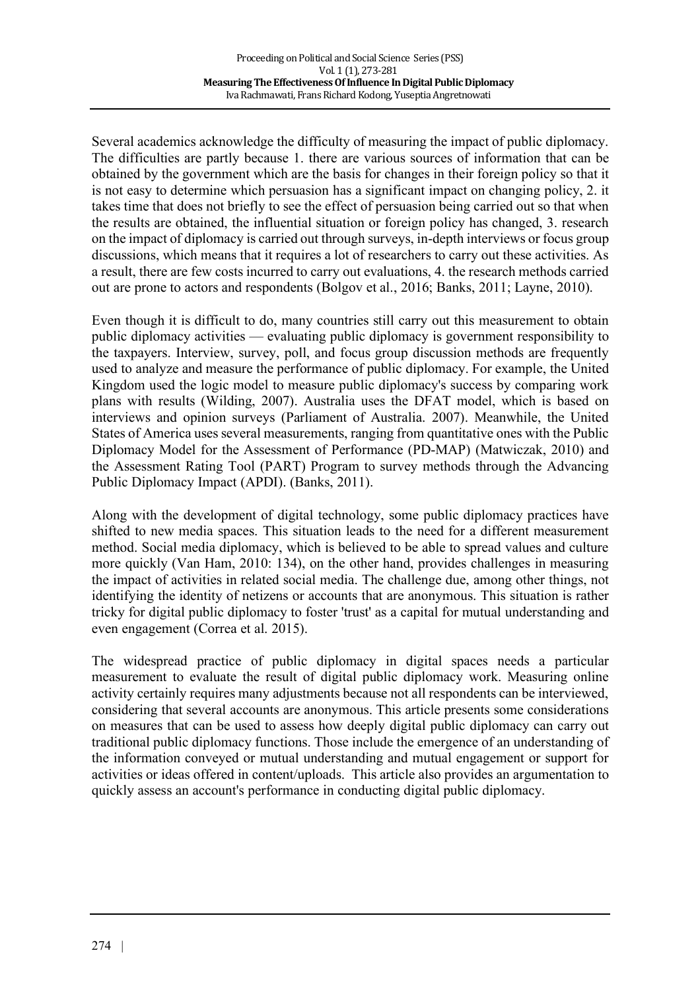Several academics acknowledge the difficulty of measuring the impact of public diplomacy. The difficulties are partly because 1. there are various sources of information that can be obtained by the government which are the basis for changes in their foreign policy so that it is not easy to determine which persuasion has a significant impact on changing policy, 2. it takes time that does not briefly to see the effect of persuasion being carried out so that when the results are obtained, the influential situation or foreign policy has changed, 3. research on the impact of diplomacy is carried out through surveys, in-depth interviews or focus group discussions, which means that it requires a lot of researchers to carry out these activities. As a result, there are few costs incurred to carry out evaluations, 4. the research methods carried out are prone to actors and respondents (Bolgov et al., 2016; Banks, 2011; Layne, 2010).

Even though it is difficult to do, many countries still carry out this measurement to obtain public diplomacy activities — evaluating public diplomacy is government responsibility to the taxpayers. Interview, survey, poll, and focus group discussion methods are frequently used to analyze and measure the performance of public diplomacy. For example, the United Kingdom used the logic model to measure public diplomacy's success by comparing work plans with results (Wilding, 2007). Australia uses the DFAT model, which is based on interviews and opinion surveys (Parliament of Australia. 2007). Meanwhile, the United States of America uses several measurements, ranging from quantitative ones with the Public Diplomacy Model for the Assessment of Performance (PD-MAP) (Matwiczak, 2010) and the Assessment Rating Tool (PART) Program to survey methods through the Advancing Public Diplomacy Impact (APDI). (Banks, 2011).

Along with the development of digital technology, some public diplomacy practices have shifted to new media spaces. This situation leads to the need for a different measurement method. Social media diplomacy, which is believed to be able to spread values and culture more quickly (Van Ham, 2010: 134), on the other hand, provides challenges in measuring the impact of activities in related social media. The challenge due, among other things, not identifying the identity of netizens or accounts that are anonymous. This situation is rather tricky for digital public diplomacy to foster 'trust' as a capital for mutual understanding and even engagement (Correa et al. 2015).

The widespread practice of public diplomacy in digital spaces needs a particular measurement to evaluate the result of digital public diplomacy work. Measuring online activity certainly requires many adjustments because not all respondents can be interviewed, considering that several accounts are anonymous. This article presents some considerations on measures that can be used to assess how deeply digital public diplomacy can carry out traditional public diplomacy functions. Those include the emergence of an understanding of the information conveyed or mutual understanding and mutual engagement or support for activities or ideas offered in content/uploads. This article also provides an argumentation to quickly assess an account's performance in conducting digital public diplomacy.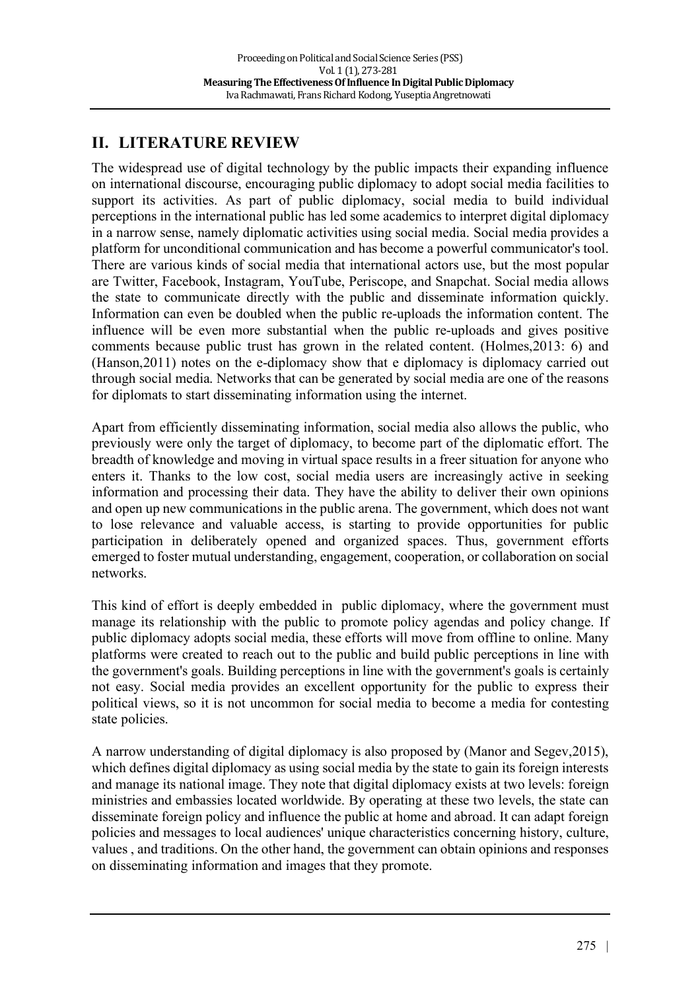## **II. LITERATURE REVIEW**

The widespread use of digital technology by the public impacts their expanding influence on international discourse, encouraging public diplomacy to adopt social media facilities to support its activities. As part of public diplomacy, social media to build individual perceptions in the international public has led some academics to interpret digital diplomacy in a narrow sense, namely diplomatic activities using social media. Social media provides a platform for unconditional communication and has become a powerful communicator's tool. There are various kinds of social media that international actors use, but the most popular are Twitter, Facebook, Instagram, YouTube, Periscope, and Snapchat. Social media allows the state to communicate directly with the public and disseminate information quickly. Information can even be doubled when the public re-uploads the information content. The influence will be even more substantial when the public re-uploads and gives positive comments because public trust has grown in the related content. (Holmes,2013: 6) and (Hanson,2011) notes on the e-diplomacy show that e diplomacy is diplomacy carried out through social media. Networks that can be generated by social media are one of the reasons for diplomats to start disseminating information using the internet.

Apart from efficiently disseminating information, social media also allows the public, who previously were only the target of diplomacy, to become part of the diplomatic effort. The breadth of knowledge and moving in virtual space results in a freer situation for anyone who enters it. Thanks to the low cost, social media users are increasingly active in seeking information and processing their data. They have the ability to deliver their own opinions and open up new communications in the public arena. The government, which does not want to lose relevance and valuable access, is starting to provide opportunities for public participation in deliberately opened and organized spaces. Thus, government efforts emerged to foster mutual understanding, engagement, cooperation, or collaboration on social networks.

This kind of effort is deeply embedded in public diplomacy, where the government must manage its relationship with the public to promote policy agendas and policy change. If public diplomacy adopts social media, these efforts will move from offline to online. Many platforms were created to reach out to the public and build public perceptions in line with the government's goals. Building perceptions in line with the government's goals is certainly not easy. Social media provides an excellent opportunity for the public to express their political views, so it is not uncommon for social media to become a media for contesting state policies.

A narrow understanding of digital diplomacy is also proposed by (Manor and Segev,2015), which defines digital diplomacy as using social media by the state to gain its foreign interests and manage its national image. They note that digital diplomacy exists at two levels: foreign ministries and embassies located worldwide. By operating at these two levels, the state can disseminate foreign policy and influence the public at home and abroad. It can adapt foreign policies and messages to local audiences' unique characteristics concerning history, culture, values , and traditions. On the other hand, the government can obtain opinions and responses on disseminating information and images that they promote.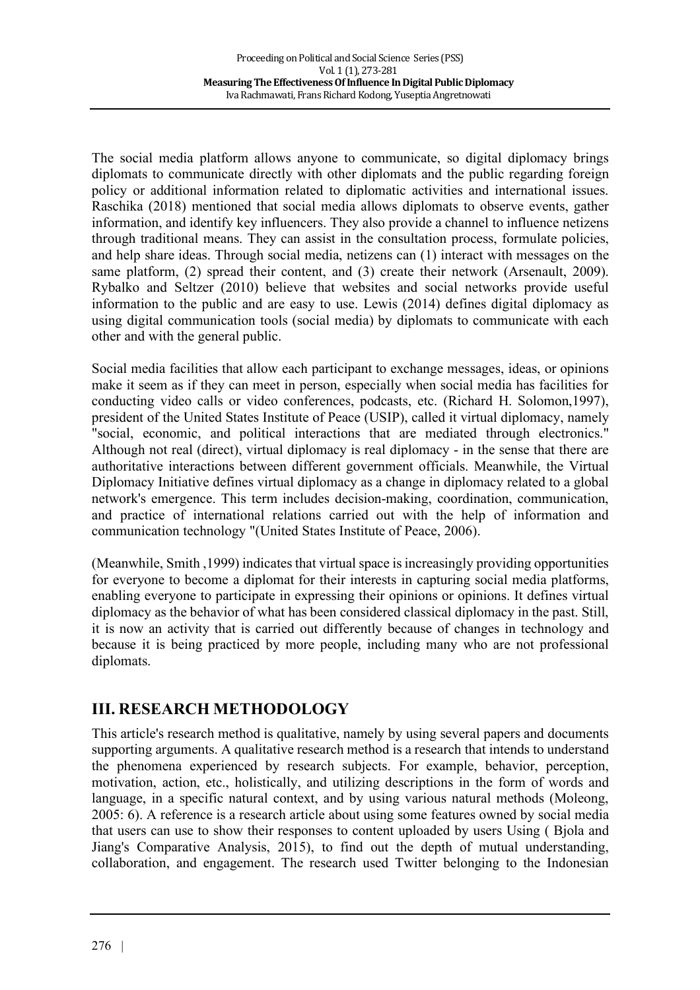The social media platform allows anyone to communicate, so digital diplomacy brings diplomats to communicate directly with other diplomats and the public regarding foreign policy or additional information related to diplomatic activities and international issues. Raschika (2018) mentioned that social media allows diplomats to observe events, gather information, and identify key influencers. They also provide a channel to influence netizens through traditional means. They can assist in the consultation process, formulate policies, and help share ideas. Through social media, netizens can (1) interact with messages on the same platform, (2) spread their content, and (3) create their network (Arsenault, 2009). Rybalko and Seltzer (2010) believe that websites and social networks provide useful information to the public and are easy to use. Lewis (2014) defines digital diplomacy as using digital communication tools (social media) by diplomats to communicate with each other and with the general public.

Social media facilities that allow each participant to exchange messages, ideas, or opinions make it seem as if they can meet in person, especially when social media has facilities for conducting video calls or video conferences, podcasts, etc. (Richard H. Solomon,1997), president of the United States Institute of Peace (USIP), called it virtual diplomacy, namely "social, economic, and political interactions that are mediated through electronics." Although not real (direct), virtual diplomacy is real diplomacy - in the sense that there are authoritative interactions between different government officials. Meanwhile, the Virtual Diplomacy Initiative defines virtual diplomacy as a change in diplomacy related to a global network's emergence. This term includes decision-making, coordination, communication, and practice of international relations carried out with the help of information and communication technology "(United States Institute of Peace, 2006).

(Meanwhile, Smith ,1999) indicates that virtual space is increasingly providing opportunities for everyone to become a diplomat for their interests in capturing social media platforms, enabling everyone to participate in expressing their opinions or opinions. It defines virtual diplomacy as the behavior of what has been considered classical diplomacy in the past. Still, it is now an activity that is carried out differently because of changes in technology and because it is being practiced by more people, including many who are not professional diplomats.

### **III. RESEARCH METHODOLOGY**

This article's research method is qualitative, namely by using several papers and documents supporting arguments. A qualitative research method is a research that intends to understand the phenomena experienced by research subjects. For example, behavior, perception, motivation, action, etc., holistically, and utilizing descriptions in the form of words and language, in a specific natural context, and by using various natural methods (Moleong, 2005: 6). A reference is a research article about using some features owned by social media that users can use to show their responses to content uploaded by users Using ( Bjola and Jiang's Comparative Analysis, 2015), to find out the depth of mutual understanding, collaboration, and engagement. The research used Twitter belonging to the Indonesian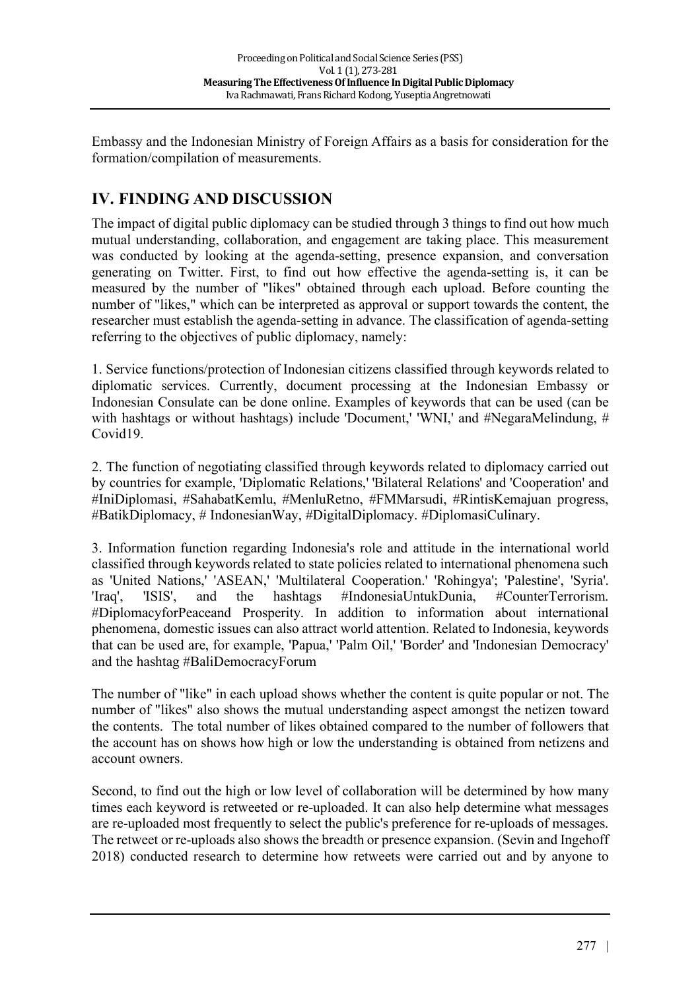Embassy and the Indonesian Ministry of Foreign Affairs as a basis for consideration for the formation/compilation of measurements.

## **IV. FINDING AND DISCUSSION**

The impact of digital public diplomacy can be studied through 3 things to find out how much mutual understanding, collaboration, and engagement are taking place. This measurement was conducted by looking at the agenda-setting, presence expansion, and conversation generating on Twitter. First, to find out how effective the agenda-setting is, it can be measured by the number of "likes" obtained through each upload. Before counting the number of "likes," which can be interpreted as approval or support towards the content, the researcher must establish the agenda-setting in advance. The classification of agenda-setting referring to the objectives of public diplomacy, namely:

1. Service functions/protection of Indonesian citizens classified through keywords related to diplomatic services. Currently, document processing at the Indonesian Embassy or Indonesian Consulate can be done online. Examples of keywords that can be used (can be with hashtags or without hashtags) include 'Document,' 'WNI,' and #NegaraMelindung, # Covid19.

2. The function of negotiating classified through keywords related to diplomacy carried out by countries for example, 'Diplomatic Relations,' 'Bilateral Relations' and 'Cooperation' and #IniDiplomasi, #SahabatKemlu, #MenluRetno, #FMMarsudi, #RintisKemajuan progress, #BatikDiplomacy, # IndonesianWay, #DigitalDiplomacy. #DiplomasiCulinary.

3. Information function regarding Indonesia's role and attitude in the international world classified through keywords related to state policies related to international phenomena such as 'United Nations,' 'ASEAN,' 'Multilateral Cooperation.' 'Rohingya'; 'Palestine', 'Syria'. 'Iraq', 'ISIS', and the hashtags #IndonesiaUntukDunia, #CounterTerrorism. #DiplomacyforPeaceand Prosperity. In addition to information about international phenomena, domestic issues can also attract world attention. Related to Indonesia, keywords that can be used are, for example, 'Papua,' 'Palm Oil,' 'Border' and 'Indonesian Democracy' and the hashtag #BaliDemocracyForum

The number of "like" in each upload shows whether the content is quite popular or not. The number of "likes" also shows the mutual understanding aspect amongst the netizen toward the contents. The total number of likes obtained compared to the number of followers that the account has on shows how high or low the understanding is obtained from netizens and account owners.

Second, to find out the high or low level of collaboration will be determined by how many times each keyword is retweeted or re-uploaded. It can also help determine what messages are re-uploaded most frequently to select the public's preference for re-uploads of messages. The retweet or re-uploads also shows the breadth or presence expansion. (Sevin and Ingehoff 2018) conducted research to determine how retweets were carried out and by anyone to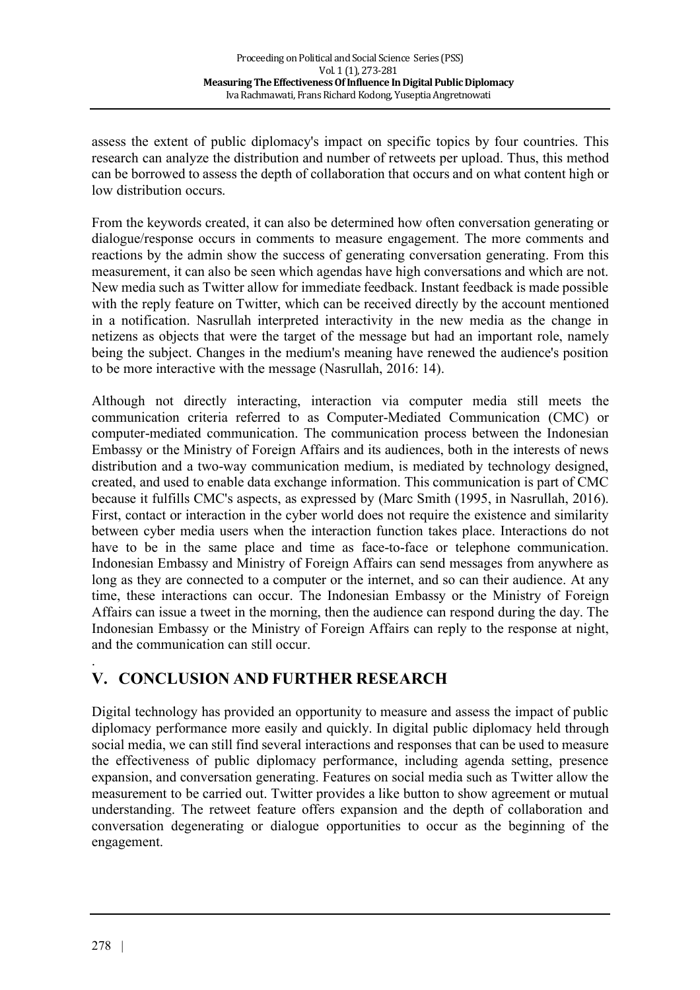assess the extent of public diplomacy's impact on specific topics by four countries. This research can analyze the distribution and number of retweets per upload. Thus, this method can be borrowed to assess the depth of collaboration that occurs and on what content high or low distribution occurs.

From the keywords created, it can also be determined how often conversation generating or dialogue/response occurs in comments to measure engagement. The more comments and reactions by the admin show the success of generating conversation generating. From this measurement, it can also be seen which agendas have high conversations and which are not. New media such as Twitter allow for immediate feedback. Instant feedback is made possible with the reply feature on Twitter, which can be received directly by the account mentioned in a notification. Nasrullah interpreted interactivity in the new media as the change in netizens as objects that were the target of the message but had an important role, namely being the subject. Changes in the medium's meaning have renewed the audience's position to be more interactive with the message (Nasrullah, 2016: 14).

Although not directly interacting, interaction via computer media still meets the communication criteria referred to as Computer-Mediated Communication (CMC) or computer-mediated communication. The communication process between the Indonesian Embassy or the Ministry of Foreign Affairs and its audiences, both in the interests of news distribution and a two-way communication medium, is mediated by technology designed, created, and used to enable data exchange information. This communication is part of CMC because it fulfills CMC's aspects, as expressed by (Marc Smith (1995, in Nasrullah, 2016). First, contact or interaction in the cyber world does not require the existence and similarity between cyber media users when the interaction function takes place. Interactions do not have to be in the same place and time as face-to-face or telephone communication. Indonesian Embassy and Ministry of Foreign Affairs can send messages from anywhere as long as they are connected to a computer or the internet, and so can their audience. At any time, these interactions can occur. The Indonesian Embassy or the Ministry of Foreign Affairs can issue a tweet in the morning, then the audience can respond during the day. The Indonesian Embassy or the Ministry of Foreign Affairs can reply to the response at night, and the communication can still occur.

## **V. CONCLUSION AND FURTHER RESEARCH**

Digital technology has provided an opportunity to measure and assess the impact of public diplomacy performance more easily and quickly. In digital public diplomacy held through social media, we can still find several interactions and responses that can be used to measure the effectiveness of public diplomacy performance, including agenda setting, presence expansion, and conversation generating. Features on social media such as Twitter allow the measurement to be carried out. Twitter provides a like button to show agreement or mutual understanding. The retweet feature offers expansion and the depth of collaboration and conversation degenerating or dialogue opportunities to occur as the beginning of the engagement.

.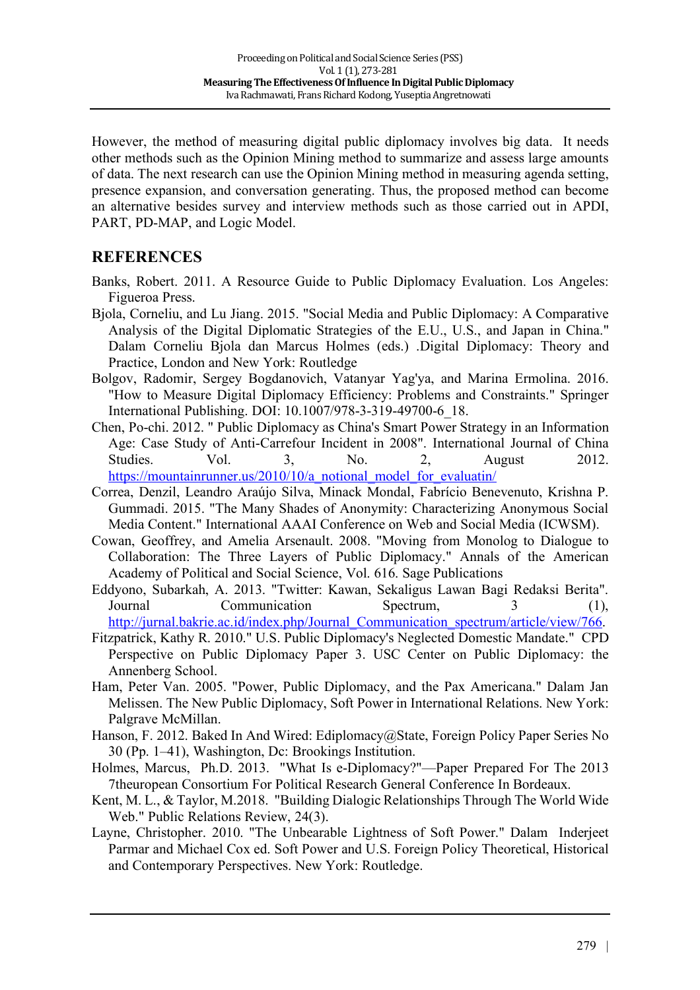However, the method of measuring digital public diplomacy involves big data. It needs other methods such as the Opinion Mining method to summarize and assess large amounts of data. The next research can use the Opinion Mining method in measuring agenda setting, presence expansion, and conversation generating. Thus, the proposed method can become an alternative besides survey and interview methods such as those carried out in APDI, PART, PD-MAP, and Logic Model.

### **REFERENCES**

- Banks, Robert. 2011. A Resource Guide to Public Diplomacy Evaluation. Los Angeles: Figueroa Press.
- Bjola, Corneliu, and Lu Jiang. 2015. "Social Media and Public Diplomacy: A Comparative Analysis of the Digital Diplomatic Strategies of the E.U., U.S., and Japan in China." Dalam Corneliu Bjola dan Marcus Holmes (eds.) .Digital Diplomacy: Theory and Practice, London and New York: Routledge
- Bolgov, Radomir, Sergey Bogdanovich, Vatanyar Yag'ya, and Marina Ermolina. 2016. "How to Measure Digital Diplomacy Efficiency: Problems and Constraints." Springer International Publishing. DOI: 10.1007/978-3-319-49700-6\_18.
- Chen, Po-chi. 2012. " Public Diplomacy as China's Smart Power Strategy in an Information Age: Case Study of Anti-Carrefour Incident in 2008". International Journal of China Studies. Vol. 3, No. 2, August 2012. https://mountainrunner.us/2010/10/a\_notional\_model\_for\_evaluatin/
- Correa, Denzil, Leandro Araújo Silva, Minack Mondal, Fabrício Benevenuto, Krishna P. Gummadi. 2015. "The Many Shades of Anonymity: Characterizing Anonymous Social Media Content." International AAAI Conference on Web and Social Media (ICWSM).
- Cowan, Geoffrey, and Amelia Arsenault. 2008. "Moving from Monolog to Dialogue to Collaboration: The Three Layers of Public Diplomacy." Annals of the American Academy of Political and Social Science, Vol. 616. Sage Publications
- Eddyono, Subarkah, A. 2013. "Twitter: Kawan, Sekaligus Lawan Bagi Redaksi Berita". Journal Communication Spectrum, 3 (1), http://jurnal.bakrie.ac.id/index.php/Journal\_Communication\_spectrum/article/view/766.
- Fitzpatrick, Kathy R. 2010." U.S. Public Diplomacy's Neglected Domestic Mandate." CPD Perspective on Public Diplomacy Paper 3. USC Center on Public Diplomacy: the Annenberg School.
- Ham, Peter Van. 2005. "Power, Public Diplomacy, and the Pax Americana." Dalam Jan Melissen. The New Public Diplomacy, Soft Power in International Relations. New York: Palgrave McMillan.
- Hanson, F. 2012. Baked In And Wired: Ediplomacy@State, Foreign Policy Paper Series No 30 (Pp. 1–41), Washington, Dc: Brookings Institution.
- Holmes, Marcus, Ph.D. 2013. "What Is e-Diplomacy?"—Paper Prepared For The 2013 7theuropean Consortium For Political Research General Conference In Bordeaux.
- Kent, M. L., & Taylor, M.2018. "Building Dialogic Relationships Through The World Wide Web." Public Relations Review, 24(3).
- Layne, Christopher. 2010. "The Unbearable Lightness of Soft Power." Dalam Inderjeet Parmar and Michael Cox ed. Soft Power and U.S. Foreign Policy Theoretical, Historical and Contemporary Perspectives. New York: Routledge.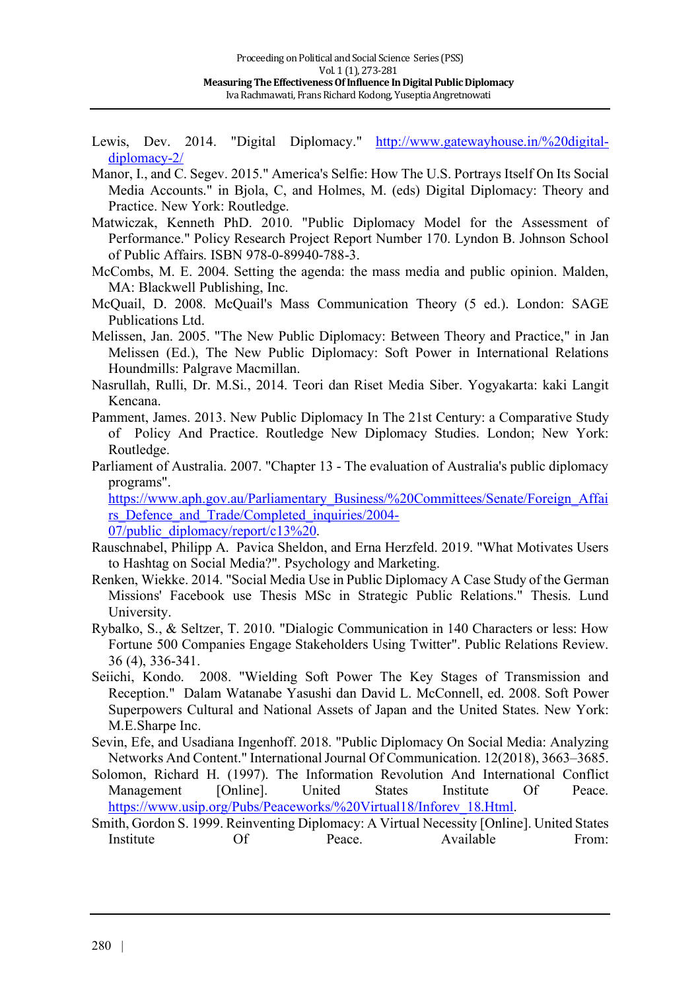- Lewis, Dev. 2014. "Digital Diplomacy." http://www.gatewayhouse.in/%20digitaldiplomacy-2/
- Manor, I., and C. Segev. 2015." America's Selfie: How The U.S. Portrays Itself On Its Social Media Accounts." in Bjola, C, and Holmes, M. (eds) Digital Diplomacy: Theory and Practice. New York: Routledge.
- Matwiczak, Kenneth PhD. 2010. "Public Diplomacy Model for the Assessment of Performance." Policy Research Project Report Number 170. Lyndon B. Johnson School of Public Affairs. ISBN 978-0-89940-788-3.
- McCombs, M. E. 2004. Setting the agenda: the mass media and public opinion. Malden, MA: Blackwell Publishing, Inc.
- McQuail, D. 2008. McQuail's Mass Communication Theory (5 ed.). London: SAGE Publications Ltd.
- Melissen, Jan. 2005. "The New Public Diplomacy: Between Theory and Practice," in Jan Melissen (Ed.), The New Public Diplomacy: Soft Power in International Relations Houndmills: Palgrave Macmillan.
- Nasrullah, Rulli, Dr. M.Si., 2014. Teori dan Riset Media Siber. Yogyakarta: kaki Langit Kencana.
- Pamment, James. 2013. New Public Diplomacy In The 21st Century: a Comparative Study of Policy And Practice. Routledge New Diplomacy Studies. London; New York: Routledge.
- Parliament of Australia. 2007. "Chapter 13 The evaluation of Australia's public diplomacy programs".

https://www.aph.gov.au/Parliamentary\_Business/%20Committees/Senate/Foreign\_Affai rs Defence and Trade/Completed inquiries/2004-07/public\_diplomacy/report/c13%20.

- Rauschnabel, Philipp A. Pavica Sheldon, and Erna Herzfeld. 2019. "What Motivates Users to Hashtag on Social Media?". Psychology and Marketing.
- Renken, Wiekke. 2014. "Social Media Use in Public Diplomacy A Case Study of the German Missions' Facebook use Thesis MSc in Strategic Public Relations." Thesis. Lund University.
- Rybalko, S., & Seltzer, T. 2010. "Dialogic Communication in 140 Characters or less: How Fortune 500 Companies Engage Stakeholders Using Twitter". Public Relations Review. 36 (4), 336-341.
- Seiichi, Kondo. 2008. "Wielding Soft Power The Key Stages of Transmission and Reception." Dalam Watanabe Yasushi dan David L. McConnell, ed. 2008. Soft Power Superpowers Cultural and National Assets of Japan and the United States. New York: M.E.Sharpe Inc.
- Sevin, Efe, and Usadiana Ingenhoff. 2018. "Public Diplomacy On Social Media: Analyzing Networks And Content." International Journal Of Communication. 12(2018), 3663–3685.
- Solomon, Richard H. (1997). The Information Revolution And International Conflict Management [Online]. United States Institute Of Peace. https://www.usip.org/Pubs/Peaceworks/%20Virtual18/Inforev\_18.Html.
- Smith, Gordon S. 1999. Reinventing Diplomacy: A Virtual Necessity [Online]. United States Institute Of Peace. Available From: